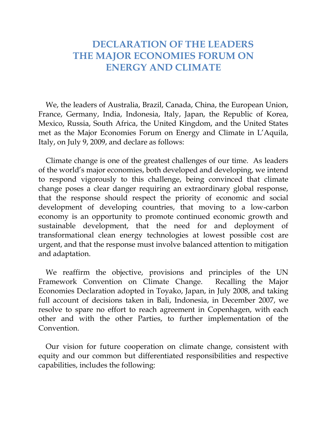## **DECLARATION OF THE LEADERS THE MAJOR ECONOMIES FORUM ON ENERGY AND CLIMATE**

We, the leaders of Australia, Brazil, Canada, China, the European Union, France, Germany, India, Indonesia, Italy, Japan, the Republic of Korea, Mexico, Russia, South Africa, the United Kingdom, and the United States met as the Major Economies Forum on Energy and Climate in L'Aquila, Italy, on July 9, 2009, and declare as follows:

Climate change is one of the greatest challenges of our time. As leaders of the world's major economies, both developed and developing, we intend to respond vigorously to this challenge, being convinced that climate change poses a clear danger requiring an extraordinary global response, that the response should respect the priority of economic and social development of developing countries, that moving to a low-carbon economy is an opportunity to promote continued economic growth and sustainable development, that the need for and deployment of transformational clean energy technologies at lowest possible cost are urgent, and that the response must involve balanced attention to mitigation and adaptation.

We reaffirm the objective, provisions and principles of the UN Framework Convention on Climate Change. Recalling the Major Economies Declaration adopted in Toyako, Japan, in July 2008, and taking full account of decisions taken in Bali, Indonesia, in December 2007, we resolve to spare no effort to reach agreement in Copenhagen, with each other and with the other Parties, to further implementation of the Convention.

Our vision for future cooperation on climate change, consistent with equity and our common but differentiated responsibilities and respective capabilities, includes the following: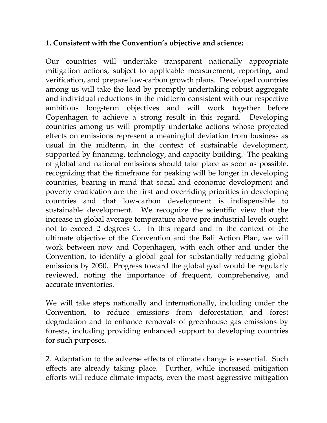## **1. Consistent with the Convention's objective and science:**

Our countries will undertake transparent nationally appropriate mitigation actions, subject to applicable measurement, reporting, and verification, and prepare low-carbon growth plans. Developed countries among us will take the lead by promptly undertaking robust aggregate and individual reductions in the midterm consistent with our respective ambitious long-term objectives and will work together before Copenhagen to achieve a strong result in this regard. Developing countries among us will promptly undertake actions whose projected effects on emissions represent a meaningful deviation from business as usual in the midterm, in the context of sustainable development, supported by financing, technology, and capacity-building. The peaking of global and national emissions should take place as soon as possible, recognizing that the timeframe for peaking will be longer in developing countries, bearing in mind that social and economic development and poverty eradication are the first and overriding priorities in developing countries and that low-carbon development is indispensible to sustainable development. We recognize the scientific view that the increase in global average temperature above pre-industrial levels ought not to exceed 2 degrees C. In this regard and in the context of the ultimate objective of the Convention and the Bali Action Plan, we will work between now and Copenhagen, with each other and under the Convention, to identify a global goal for substantially reducing global emissions by 2050. Progress toward the global goal would be regularly reviewed, noting the importance of frequent, comprehensive, and accurate inventories.

We will take steps nationally and internationally, including under the Convention, to reduce emissions from deforestation and forest degradation and to enhance removals of greenhouse gas emissions by forests, including providing enhanced support to developing countries for such purposes.

2. Adaptation to the adverse effects of climate change is essential. Such effects are already taking place. Further, while increased mitigation efforts will reduce climate impacts, even the most aggressive mitigation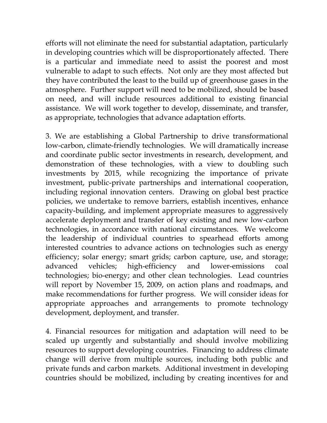efforts will not eliminate the need for substantial adaptation, particularly in developing countries which will be disproportionately affected. There is a particular and immediate need to assist the poorest and most vulnerable to adapt to such effects. Not only are they most affected but they have contributed the least to the build up of greenhouse gases in the atmosphere. Further support will need to be mobilized, should be based on need, and will include resources additional to existing financial assistance. We will work together to develop, disseminate, and transfer, as appropriate, technologies that advance adaptation efforts.

3. We are establishing a Global Partnership to drive transformational low-carbon, climate-friendly technologies. We will dramatically increase and coordinate public sector investments in research, development, and demonstration of these technologies, with a view to doubling such investments by 2015, while recognizing the importance of private investment, public-private partnerships and international cooperation, including regional innovation centers. Drawing on global best practice policies, we undertake to remove barriers, establish incentives, enhance capacity-building, and implement appropriate measures to aggressively accelerate deployment and transfer of key existing and new low-carbon technologies, in accordance with national circumstances. We welcome the leadership of individual countries to spearhead efforts among interested countries to advance actions on technologies such as energy efficiency; solar energy; smart grids; carbon capture, use, and storage; advanced vehicles; high-efficiency and lower-emissions coal technologies; bio-energy; and other clean technologies. Lead countries will report by November 15, 2009, on action plans and roadmaps, and make recommendations for further progress. We will consider ideas for appropriate approaches and arrangements to promote technology development, deployment, and transfer.

4. Financial resources for mitigation and adaptation will need to be scaled up urgently and substantially and should involve mobilizing resources to support developing countries. Financing to address climate change will derive from multiple sources, including both public and private funds and carbon markets. Additional investment in developing countries should be mobilized, including by creating incentives for and